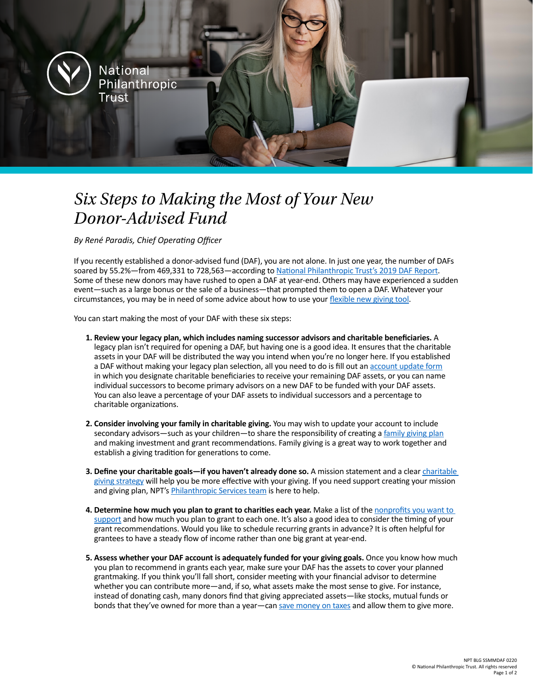**National** Philanthropic Trust

## *Six Steps to Making the Most of Your New Donor-Advised Fund*

*By René Paradis, Chief Operating Officer*

If you recently established a donor-advised fund (DAF), you are not alone. In just one year, the number of DAFs soared by 55.2%—from 469,331 to 728,563—according to [National Philanthropic Trust's 2019 DAF Report](https://www.nptrust.org/reports/daf-report/). Some of these new donors may have rushed to open a DAF at year-end. Others may have experienced a sudden event—such as a large bonus or the sale of a business—that prompted them to open a DAF. Whatever your circumstances, you may be in need of some advice about how to use your [flexible new giving tool.](https://www.nptrust.org/donor-advised-funds/)

You can start making the most of your DAF with these six steps:

- **1. Review your legacy plan, which includes naming successor advisors and charitable beneficiaries.** A legacy plan isn't required for opening a DAF, but having one is a good idea. It ensures that the charitable assets in your DAF will be distributed the way you intend when you're no longer here. If you established a DAF without making your legacy plan selection, all you need to do is fill out an [account update form](https://npt.iphiview.com/npt/LinkClick.aspx?fileticket=2zDswRWpL9Q%3d&tabid=656&mid=2534) in which you designate charitable beneficiaries to receive your remaining DAF assets, or you can name individual successors to become primary advisors on a new DAF to be funded with your DAF assets. You can also leave a percentage of your DAF assets to individual successors and a percentage to charitable organizations.
- **2. Consider involving your family in charitable giving.** You may wish to update your account to include secondary advisors—such as your children—to share the responsibility of creating a [family giving plan](https://www.nptrust.org/philanthropic-resources/philanthropist/family-philanthropy-establishing-a-giving-tradition-this-holiday-season/) and making investment and grant recommendations. Family giving is a great way to work together and establish a giving tradition for generations to come.
- **3. Define your charitable goals—if you haven't already done so.** A mission statement and a clear [charitable](https://www.nptrust.org/philanthropic-resources/philanthropist/get-before-you-give-honing-your-charitable-strategy/)  [giving strategy](https://www.nptrust.org/philanthropic-resources/philanthropist/get-before-you-give-honing-your-charitable-strategy/) will help you be more effective with your giving. If you need support creating your mission and giving plan, NPT's **[Philanthropic Services team](https://www.nptrust.org/philanthropic-services/)** is here to help.
- **4. Determine how much you plan to grant to charities each year.** Make a list of the [nonprofits you want to](https://www.nptrust.org/philanthropic-resources/philanthropist/choosing-where-to-give-four-questions-every-philanthropist-should-ask/)  [support](https://www.nptrust.org/philanthropic-resources/philanthropist/choosing-where-to-give-four-questions-every-philanthropist-should-ask/) and how much you plan to grant to each one. It's also a good idea to consider the timing of your grant recommendations. Would you like to schedule recurring grants in advance? It is often helpful for grantees to have a steady flow of income rather than one big grant at year-end.
- **5. Assess whether your DAF account is adequately funded for your giving goals.** Once you know how much you plan to recommend in grants each year, make sure your DAF has the assets to cover your planned grantmaking. If you think you'll fall short, consider meeting with your financial advisor to determine whether you can contribute more—and, if so, what assets make the most sense to give. For instance, instead of donating cash, many donors find that giving appreciated assets—like stocks, mutual funds or bonds that they've owned for more than a year—can [save money on taxes](https://www.nptrust.org/what-is-a-donor-advised-fund/daf-tax-consideration/) and allow them to give more.